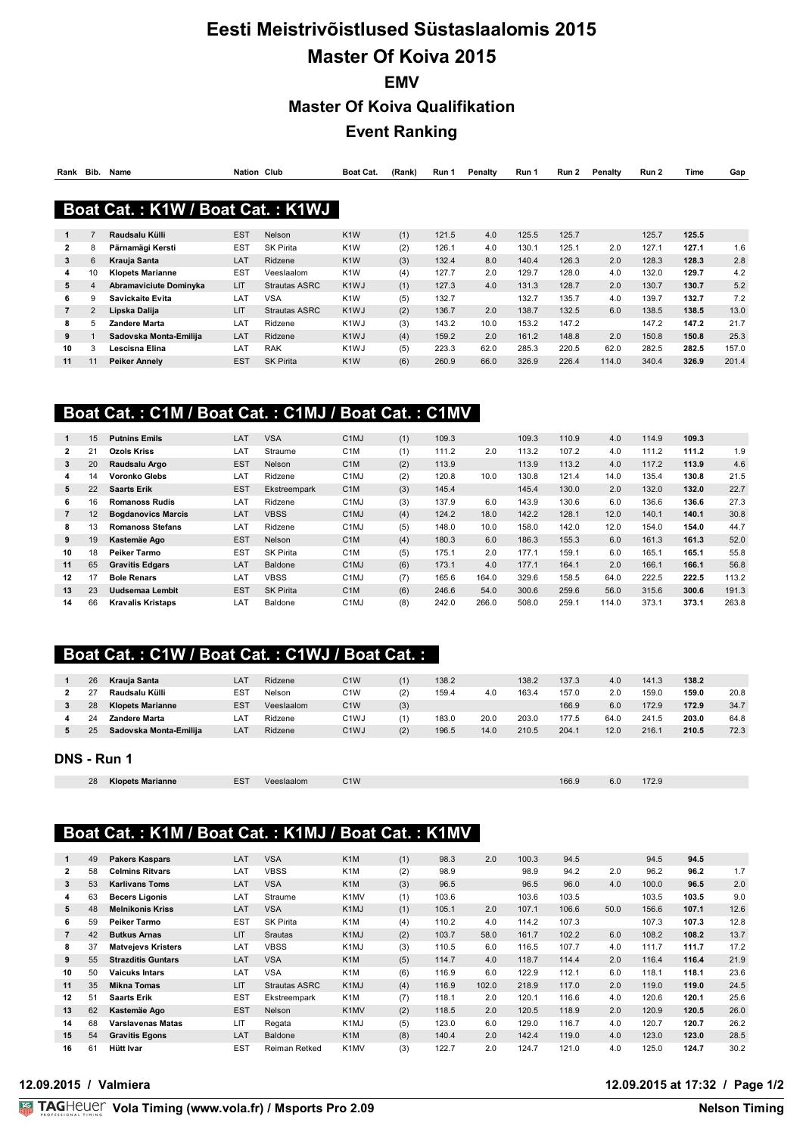# **Eesti Meistrivõistlused Süstaslaalomis 2015 Master Of Koiva 2015 EMV Master Of Koiva Qualifikation Event Ranking**

| Rank           | Bib.           | Name                             | <b>Nation Club</b> |                      | Boat Cat.         | (Rank) | Run 1 | Penalty | Run 1 | Run 2 | Penalty | Run 2 | Time  | Gap   |
|----------------|----------------|----------------------------------|--------------------|----------------------|-------------------|--------|-------|---------|-------|-------|---------|-------|-------|-------|
|                |                |                                  |                    |                      |                   |        |       |         |       |       |         |       |       |       |
|                |                | Boat Cat.: K1W / Boat Cat.: K1WJ |                    |                      |                   |        |       |         |       |       |         |       |       |       |
| 1              |                | Raudsalu Külli                   | <b>EST</b>         | <b>Nelson</b>        | K <sub>1</sub> W  | (1)    | 121.5 | 4.0     | 125.5 | 125.7 |         | 125.7 | 125.5 |       |
| $\mathbf{2}$   | 8              | Pärnamägi Kersti                 | <b>EST</b>         | <b>SK Pirita</b>     | K <sub>1</sub> W  | (2)    | 126.1 | 4.0     | 130.1 | 125.1 | 2.0     | 127.1 | 127.1 | 1.6   |
| 3              | 6              | Krauja Santa                     | LAT                | Ridzene              | K <sub>1</sub> W  | (3)    | 132.4 | 8.0     | 140.4 | 126.3 | 2.0     | 128.3 | 128.3 | 2.8   |
| 4              | 10             | <b>Klopets Marianne</b>          | <b>EST</b>         | Veeslaalom           | K <sub>1</sub> W  | (4)    | 127.7 | 2.0     | 129.7 | 128.0 | 4.0     | 132.0 | 129.7 | 4.2   |
| 5              | 4              | Abramaviciute Dominyka           | <b>LIT</b>         | <b>Strautas ASRC</b> | K <sub>1</sub> WJ | (1)    | 127.3 | 4.0     | 131.3 | 128.7 | 2.0     | 130.7 | 130.7 | 5.2   |
| 6              | 9              | Savickaite Evita                 | LAT                | VSA                  | K <sub>1</sub> W  | (5)    | 132.7 |         | 132.7 | 135.7 | 4.0     | 139.7 | 132.7 | 7.2   |
| $\overline{7}$ | $\overline{2}$ | Lipska Dalija                    | LIT                | <b>Strautas ASRC</b> | K <sub>1</sub> WJ | (2)    | 136.7 | 2.0     | 138.7 | 132.5 | 6.0     | 138.5 | 138.5 | 13.0  |
| 8              | 5              | Zandere Marta                    | LAT                | Ridzene              | K <sub>1</sub> WJ | (3)    | 143.2 | 10.0    | 153.2 | 147.2 |         | 147.2 | 147.2 | 21.7  |
| 9              |                | Sadovska Monta-Emilija           | LAT                | Ridzene              | K <sub>1</sub> WJ | (4)    | 159.2 | 2.0     | 161.2 | 148.8 | 2.0     | 150.8 | 150.8 | 25.3  |
| 10             | 3              | Lescisna Elina                   | LAT                | <b>RAK</b>           | K <sub>1</sub> WJ | (5)    | 223.3 | 62.0    | 285.3 | 220.5 | 62.0    | 282.5 | 282.5 | 157.0 |
| 11             | 11             | <b>Peiker Annely</b>             | <b>EST</b>         | <b>SK Pirita</b>     | K <sub>1</sub> W  | (6)    | 260.9 | 66.0    | 326.9 | 226.4 | 114.0   | 340.4 | 326.9 | 201.4 |

## **Boat Cat. : C1M / Boat Cat. : C1MJ / Boat Cat. : C1MV**

|              | 15 | <b>Putnins Emils</b>      | LAT        | <b>VSA</b>       | C <sub>1</sub> MJ | (1) | 109.3 |       | 109.3 | 110.9 | 4.0   | 114.9 | 109.3 |       |
|--------------|----|---------------------------|------------|------------------|-------------------|-----|-------|-------|-------|-------|-------|-------|-------|-------|
| $\mathbf{2}$ | 21 | <b>Ozols Kriss</b>        | LAT        | Straume          | C <sub>1</sub> M  | (1) | 111.2 | 2.0   | 113.2 | 107.2 | 4.0   | 111.2 | 111.2 | 1.9   |
| 3            | 20 | Raudsalu Argo             | <b>EST</b> | Nelson           | C <sub>1</sub> M  | (2) | 113.9 |       | 113.9 | 113.2 | 4.0   | 117.2 | 113.9 | 4.6   |
| 4            | 14 | <b>Voronko Glebs</b>      | LAT        | Ridzene          | C <sub>1</sub> MJ | (2) | 120.8 | 10.0  | 130.8 | 121.4 | 14.0  | 135.4 | 130.8 | 21.5  |
| 5            | 22 | <b>Saarts Erik</b>        | <b>EST</b> | Ekstreempark     | C <sub>1</sub> M  | (3) | 145.4 |       | 145.4 | 130.0 | 2.0   | 132.0 | 132.0 | 22.7  |
| 6            | 16 | <b>Romanoss Rudis</b>     | LAT        | Ridzene          | C <sub>1</sub> MJ | (3) | 137.9 | 6.0   | 143.9 | 130.6 | 6.0   | 136.6 | 136.6 | 27.3  |
|              | 12 | <b>Boadanovics Marcis</b> | LAT        | <b>VBSS</b>      | C <sub>1</sub> MJ | (4) | 124.2 | 18.0  | 142.2 | 128.1 | 12.0  | 140.1 | 140.1 | 30.8  |
| 8            | 13 | <b>Romanoss Stefans</b>   | LAT        | Ridzene          | C <sub>1</sub> MJ | (5) | 148.0 | 10.0  | 158.0 | 142.0 | 12.0  | 154.0 | 154.0 | 44.7  |
| 9            | 19 | Kastemäe Ago              | <b>EST</b> | <b>Nelson</b>    | C <sub>1</sub> M  | (4) | 180.3 | 6.0   | 186.3 | 155.3 | 6.0   | 161.3 | 161.3 | 52.0  |
| 10           | 18 | Peiker Tarmo              | <b>EST</b> | <b>SK Pirita</b> | C <sub>1</sub> M  | (5) | 175.1 | 2.0   | 177.1 | 159.1 | 6.0   | 165.1 | 165.1 | 55.8  |
| 11           | 65 | <b>Gravitis Edgars</b>    | LAT        | Baldone          | C <sub>1</sub> MJ | (6) | 173.1 | 4.0   | 177.1 | 164.1 | 2.0   | 166.1 | 166.1 | 56.8  |
| 12           | 17 | <b>Bole Renars</b>        | LAT        | <b>VBSS</b>      | C <sub>1</sub> MJ | (7) | 165.6 | 164.0 | 329.6 | 158.5 | 64.0  | 222.5 | 222.5 | 113.2 |
| 13           | 23 | Uudsemaa Lembit           | <b>EST</b> | <b>SK Pirita</b> | C <sub>1</sub> M  | (6) | 246.6 | 54.0  | 300.6 | 259.6 | 56.0  | 315.6 | 300.6 | 191.3 |
| 14           | 66 | <b>Kravalis Kristaps</b>  | LAT        | Baldone          | C <sub>1</sub> MJ | (8) | 242.0 | 266.0 | 508.0 | 259.1 | 114.0 | 373.1 | 373.1 | 263.8 |

## **Boat Cat. : C1W / Boat Cat. : C1WJ / Boat Cat. :**

| 26 | Krauja Santa            | LA <sup>-</sup> | Ridzene    | C <sub>1</sub> W |     | 138.2 |      | 138.2 | 137.3 | 4.0  | 141.3 | 138.2 |      |
|----|-------------------------|-----------------|------------|------------------|-----|-------|------|-------|-------|------|-------|-------|------|
|    | Raudsalu Külli          | ES <sup>7</sup> | Nelson     | C <sub>1</sub> W | (2) | 159.4 | 4.0  | 163.4 | 157.0 | 2.0  | 159.0 | 159.0 | 20.8 |
| 28 | <b>Klopets Marianne</b> | ES <sub>1</sub> | Veeslaalom | C1W              | (3) |       |      |       | 166.9 | 6.0  | 172.9 | 172.9 | 34.7 |
|    | Zandere Marta           | $LA^{\tau}$     | Ridzene    | C1WJ             |     | 183.0 | 20.0 | 203.0 | 177.5 | 64.0 | 241.5 | 203.0 | 64.8 |
|    | Sadovska Monta-Emilija  | LA <sub>1</sub> | Ridzene    | C1WJ             | (2) | 196.5 | 14.0 | 210.5 | 204.  | 12.0 | 216.7 | 210.5 | 72.3 |
|    |                         |                 |            |                  |     |       |      |       |       |      |       |       |      |

### **DNS - Run 1**

| 28<br>Klopets<br>larianne<br>--<br>.<br>____ | $\Gamma$ <sup><math>\Omega</math></sup> | alom<br>1001 | $-110i$<br>$\sim$ 1 V V | 166<br>$\cdot$ | ∽<br>$\Omega$ . | $\cdots$ |
|----------------------------------------------|-----------------------------------------|--------------|-------------------------|----------------|-----------------|----------|

## **Boat Cat. : K1M / Boat Cat. : K1MJ / Boat Cat. : K1MV**

|                | 49 | <b>Pakers Kaspars</b>     | LAT        | <b>VSA</b>           | K <sub>1</sub> M              | (1) | 98.3  | 2.0   | 100.3 | 94.5  |      | 94.5  | 94.5  |      |
|----------------|----|---------------------------|------------|----------------------|-------------------------------|-----|-------|-------|-------|-------|------|-------|-------|------|
| $\overline{2}$ | 58 | <b>Celmins Ritvars</b>    | LAT        | <b>VBSS</b>          | K <sub>1</sub> M              | (2) | 98.9  |       | 98.9  | 94.2  | 2.0  | 96.2  | 96.2  | 1.7  |
| 3              | 53 | <b>Karlivans Toms</b>     | LAT        | <b>VSA</b>           | K <sub>1</sub> M              | (3) | 96.5  |       | 96.5  | 96.0  | 4.0  | 100.0 | 96.5  | 2.0  |
| 4              | 63 | <b>Becers Ligonis</b>     | LAT        | Straume              | K <sub>1</sub> M <sub>V</sub> | (1) | 103.6 |       | 103.6 | 103.5 |      | 103.5 | 103.5 | 9.0  |
| 5              | 48 | <b>Melnikonis Kriss</b>   | LAT        | <b>VSA</b>           | K <sub>1</sub> MJ             | (1) | 105.1 | 2.0   | 107.1 | 106.6 | 50.0 | 156.6 | 107.1 | 12.6 |
| 6              | 59 | <b>Peiker Tarmo</b>       | <b>EST</b> | <b>SK Pirita</b>     | K <sub>1</sub> M              | (4) | 110.2 | 4.0   | 114.2 | 107.3 |      | 107.3 | 107.3 | 12.8 |
|                | 42 | <b>Butkus Arnas</b>       | <b>LIT</b> | Srautas              | K <sub>1</sub> MJ             | (2) | 103.7 | 58.0  | 161.7 | 102.2 | 6.0  | 108.2 | 108.2 | 13.7 |
| 8              | 37 | <b>Matvejevs Kristers</b> | LAT        | <b>VBSS</b>          | K <sub>1</sub> MJ             | (3) | 110.5 | 6.0   | 116.5 | 107.7 | 4.0  | 111.7 | 111.7 | 17.2 |
| 9              | 55 | <b>Strazditis Guntars</b> | LAT        | <b>VSA</b>           | K <sub>1</sub> M              | (5) | 114.7 | 4.0   | 118.7 | 114.4 | 2.0  | 116.4 | 116.4 | 21.9 |
| 10             | 50 | <b>Vaicuks Intars</b>     | LAT        | <b>VSA</b>           | K <sub>1</sub> M              | (6) | 116.9 | 6.0   | 122.9 | 112.1 | 6.0  | 118.1 | 118.1 | 23.6 |
| 11             | 35 | <b>Mikna Tomas</b>        | <b>LIT</b> | <b>Strautas ASRC</b> | K <sub>1</sub> MJ             | (4) | 116.9 | 102.0 | 218.9 | 117.0 | 2.0  | 119.0 | 119.0 | 24.5 |
| 12             | 51 | <b>Saarts Erik</b>        | <b>EST</b> | Ekstreempark         | K <sub>1</sub> M              | (7) | 118.1 | 2.0   | 120.1 | 116.6 | 4.0  | 120.6 | 120.1 | 25.6 |
| 13             | 62 | Kastemäe Ago              | <b>EST</b> | Nelson               | K <sub>1</sub> M <sub>V</sub> | (2) | 118.5 | 2.0   | 120.5 | 118.9 | 2.0  | 120.9 | 120.5 | 26.0 |
| 14             | 68 | <b>Varslavenas Matas</b>  | <b>LIT</b> | Regata               | K <sub>1</sub> MJ             | (5) | 123.0 | 6.0   | 129.0 | 116.7 | 4.0  | 120.7 | 120.7 | 26.2 |
| 15             | 54 | <b>Gravitis Egons</b>     | LAT        | <b>Baldone</b>       | K <sub>1</sub> M              | (8) | 140.4 | 2.0   | 142.4 | 119.0 | 4.0  | 123.0 | 123.0 | 28.5 |
| 16             | 61 | <b>Hütt Ivar</b>          | <b>EST</b> | Reiman Retked        | K <sub>1</sub> M <sub>V</sub> | (3) | 122.7 | 2.0   | 124.7 | 121.0 | 4.0  | 125.0 | 124.7 | 30.2 |

#### **12.09.2015 / Valmiera 12.09.2015 at 17:32 / Page 1/2**